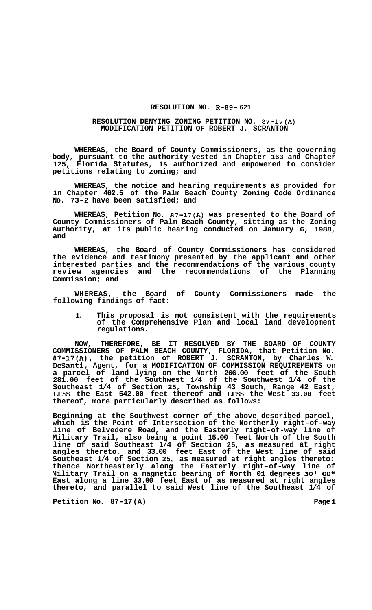## **RESOLUTION NO. R-89- 621**

## **RESOLUTION DENYING ZONING PETITION NO. 87-17(A) MODIFICATION PETITION OF ROBERT J. SCRANTON**

**WHEREAS, the Board of County Commissioners, as the governing body, pursuant to the authority vested in Chapter 163 and Chapter 125, Florida Statutes, is authorized and empowered to consider petitions relating to zoning; and** 

**WHEREAS, the notice and hearing requirements as provided for in Chapter 402.5 of the Palm Beach County Zoning Code Ordinance No. 73-2 have been satisfied; and** 

**WHEREAS, Petition No. 87-17(A) was presented to the Board of County Commissioners of Palm Beach County, sitting as the Zoning Authority, at its public hearing conducted on January 6, 1988, and** 

**WHEREAS, the Board of County Commissioners has considered the evidence and testimony presented by the applicant and other interested parties and the recommendations of the various county review agencies and the recommendations of the Planning Commission; and** 

**WHEREAS, the Board of County Commissioners made the following findings of fact:** 

**1. This proposal is not consistent with the requirements of the Comprehensive Plan and local land development regulations.** 

**NOW, THEREFORE, BE IT RESOLVED BY THE BOARD OF COUNTY COMMISSIONERS OF PALM BEACH COUNTY, FLORIDA, that Petition No. 87-17(A), the petition of ROBERT J. SCRANTON, by Charles W. DeSanti, Agent, for a MODIFICATION OF COMMISSION REQUIREMENTS on a parcel of land lying on the North 266.00 feet of the South 281.00 feet of the Southwest 1/4 of the Southwest 1/4 of the Southeast 1/4 of Section 25, Township 43 South, Range 42 East, LESS the East 542.00 feet thereof and LESS the West 33.00 feet thereof, more particularly described as follows:** 

**Beginning at the Southwest corner of the above described parcel, which is the Point of Intersection of the Northerly right-of-way line of Belvedere Road, and the Easterly right-of-way line of Military Trail, also being a point 15.00 feet North of the South line of said Southeast 1/4 of Section 25, as measured at right angles thereto, and 33.00 feet East of the West line of said Southeast 1/4 of Section 25, as measured at right angles thereto: thence Northeasterly along the Easterly right-of-way line of Military Trail on a magnetic bearing of North 01 degrees 30'** *00"*  **East along a line 33.00 feet East of as measured at right angles thereto, and parallel to said West line of the Southeast 1/4 of** 

**Petition No. 87-17(A)** 2012 12:25 22:25 22:25 23:25 23:25 23:25 23:25 23:25 23:25 23:25 23:25 23:25 23:25 23:25 23:25 23:25 23:25 23:25 23:25 23:25 23:25 23:25 23:25 23:25 23:25 23:25 23:25 23:25 23:25 23:25 23:25 23:25 2